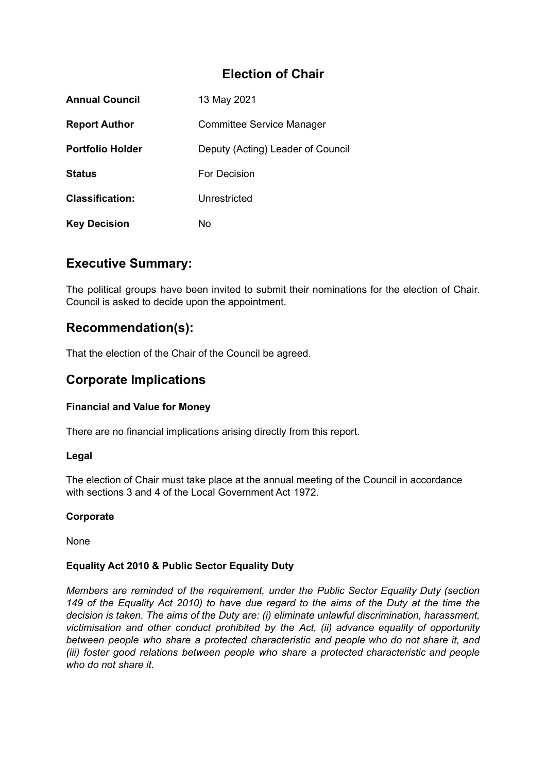# **Election of Chair**

| <b>Annual Council</b>   | 13 May 2021                       |
|-------------------------|-----------------------------------|
| <b>Report Author</b>    | <b>Committee Service Manager</b>  |
| <b>Portfolio Holder</b> | Deputy (Acting) Leader of Council |
| <b>Status</b>           | For Decision                      |
| <b>Classification:</b>  | Unrestricted                      |
| <b>Key Decision</b>     | No                                |

# **Executive Summary:**

The political groups have been invited to submit their nominations for the election of Chair. Council is asked to decide upon the appointment.

## **Recommendation(s):**

That the election of the Chair of the Council be agreed.

## **Corporate Implications**

### **Financial and Value for Money**

There are no financial implications arising directly from this report.

#### **Legal**

The election of Chair must take place at the annual meeting of the Council in accordance with sections 3 and 4 of the Local Government Act 1972

#### **Corporate**

None

#### **Equality Act 2010 & Public Sector Equality Duty**

*Members are reminded of the requirement, under the Public Sector Equality Duty (section* 149 of the Equality Act 2010) to have due regard to the aims of the Duty at the time the *decision is taken. The aims of the Duty are: (i) eliminate unlawful discrimination, harassment, victimisation and other conduct prohibited by the Act, (ii) advance equality of opportunity between people who share a protected characteristic and people who do not share it, and (iii) foster good relations between people who share a protected characteristic and people who do not share it.*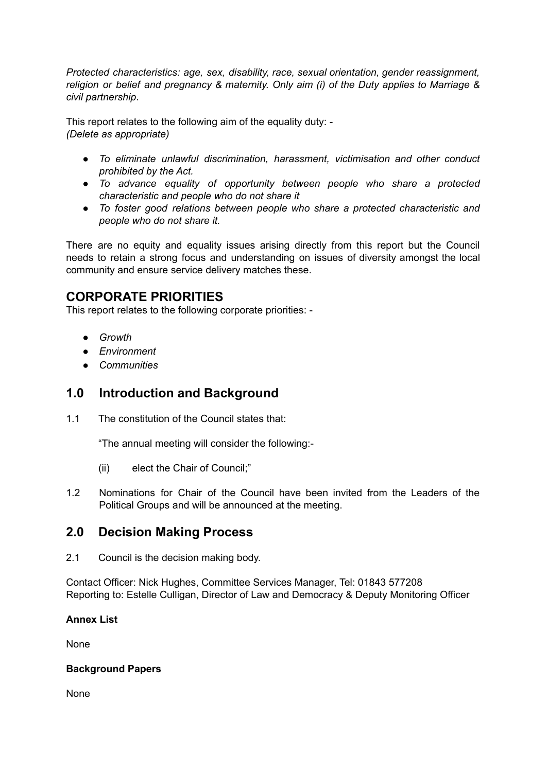*Protected characteristics: age, sex, disability, race, sexual orientation, gender reassignment, religion or belief and pregnancy & maternity. Only aim (i) of the Duty applies to Marriage & civil partnership*.

This report relates to the following aim of the equality duty: - *(Delete as appropriate)*

- *● To eliminate unlawful discrimination, harassment, victimisation and other conduct prohibited by the Act.*
- *● To advance equality of opportunity between people who share a protected characteristic and people who do not share it*
- *● To foster good relations between people who share a protected characteristic and people who do not share it.*

There are no equity and equality issues arising directly from this report but the Council needs to retain a strong focus and understanding on issues of diversity amongst the local community and ensure service delivery matches these.

# **CORPORATE PRIORITIES**

This report relates to the following corporate priorities: -

- *● Growth*
- *● Environment*
- *● Communities*

## **1.0 Introduction and Background**

1.1 The constitution of the Council states that:

"The annual meeting will consider the following:-

- (ii) elect the Chair of Council;"
- 1.2 Nominations for Chair of the Council have been invited from the Leaders of the Political Groups and will be announced at the meeting.

## **2.0 Decision Making Process**

2.1 Council is the decision making body.

Contact Officer: Nick Hughes, Committee Services Manager, Tel: 01843 577208 Reporting to: Estelle Culligan, Director of Law and Democracy & Deputy Monitoring Officer

### **Annex List**

None

### **Background Papers**

None